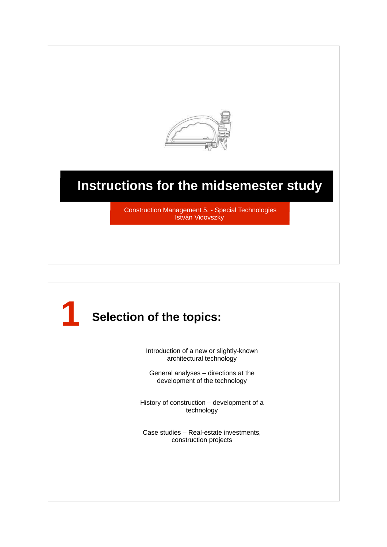

## **Instructions for the midsemester study**

Construction Management 5. - Special Technologies István Vidovszky

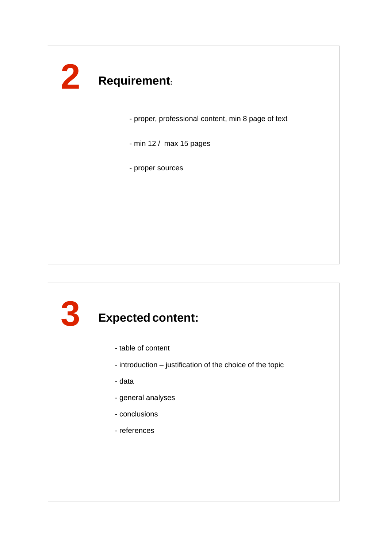# **2 Requirement:**

- proper, professional content, min 8 page of text

- min 12 / max 15 pages

- proper sources

## **3 Expected content:** - table of content - introduction – justification of the choice of the topic - data - general analyses - conclusions - references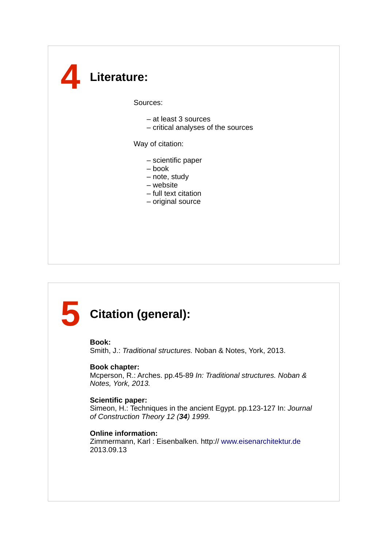## **4 Literature:**

Sources:

- at least 3 sources
- critical analyses of the sources

Way of citation:

- scientific paper
- book
- note, study
- website
- full text citation
- original source

### **5 Citation (general):**

#### **Book:**

Smith, J.: Traditional structures. Noban & Notes, York, 2013.

#### **Book chapter:**

Mcperson, R.: Arches. pp.45-89 In: Traditional structures. Noban & Notes, York, 2013.

#### **Scientific paper:**

Simeon, H.: Techniques in the ancient Egypt. pp.123-127 In: Journal of Construction Theory 12 (**34**) 1999.

### **Online information:**

Zimmermann, Karl : Eisenbalken. http:// www.eisenarchitektur.de 2013.09.13